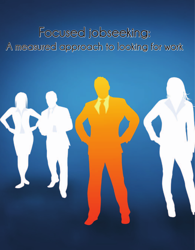# **Focused jobseeking: A measured approach to looking for work**

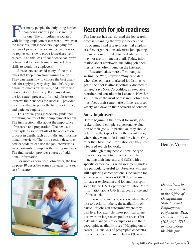or many people, the only thing harder than being out of a job is searching for one. The difficulties associated with finding employment can wear down even the most resilient jobseekers. Applying for dozens of jobs each week and getting few or no replies can slowly erode jobseekers' selfesteem. And this loss of confidence can prove detrimental to those trying to market their skills to would-be employers.

Jobseekers can avoid many of the mistakes that keep them from winning a job. They can learn how to choose the best channels for applying, why they shouldn't rely on online resources exclusively, and how to use their contacts effectively. By demystifying the job search process, informed jobseekers improve their chances for success—provided they're willing to put in the hard work, time, and patience required.

This article gives jobseekers guidelines for taking control of their employment search. The first section talks about the importance of research and preparation. The next section explains some details of the application process in depth, such as pitfalls and informational interviews. The third section describes how candidates can use the job interview as an opportunity to impress the hiring manager. The final section provides sources of additional information.

For more experienced jobseekers, the box on page 10 describes some strategies for a successful search.



# **Research for job readiness**

The Internet has transformed the job search process, changing the way jobseekers find job openings and research potential employers. Few organizations advertise job openings exclusively in printed classified ads, and some may not use print media at all. Today, information about employers, including job openings, is most often found on the Internet.

Research takes more effort than just surfing the Web, however. "Any candidate who relies on mass-marketed job listings to get in the door is almost certainly doomed to failure," says Nick Corcodilos, an executive recruiter and consultant in Lebanon, New Jersey. To make the most of research, jobseekers must focus their search, use online resources wisely, and develop their network of contacts.

### **Focus the job search**

Before beginning their quest for work, jobseekers should complete a personal evaluation of their goals. In particular, they should determine the type of work they want to do, where they want to do it, and for whom. Only after they have that information can they start a focused search for work.

Although many people know the type of work they want to do, others need help matching their interests and skills with a specific career. Skills self-assessment guides are particularly useful to jobseekers who are still exploring career options. One source for self-assessment tools is O\*NET, a resource for career exploration and job analysis sponsored by the U.S. Department of Labor. More information about O\*NET appears at the end of this article.

Likewise, some people know where they'd like to work; for others, the availability of particular jobs can determine where they will live. For example, most political scientists work in large metropolitan areas. (For a detailed analysis of occupations and their geographic availability, see "Mapping out a career: An analysis of geographic concentration of occupations" in the fall 2009 issue of

Dennis Vilorio

*Dennis Vilorio is an economist in the Office of Occupational Statistics and Employment Projections, BLS. He is available at (202) 691–5711 or* vilorio.dennis@bls.gov*.*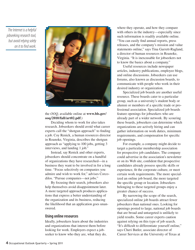*The Internet is a helpful jobseeking research tool, but avoid relying solely on it to find work.*



#### the *OOQ*, available online at **www.bls.gov/ ooq/2010/fall/art02.pdf**.)

Deciding whom to work for also takes research. Jobseekers should avoid what career experts call the "shotgun approach" to finding a job. Coy Renick, a human resources director in Roanoke, Virginia, describes the shotgun approach as "applying to 100 jobs, getting 3 interviews, and landing 1 job."

Instead, say Renick and other experts, jobseekers should concentrate on a handful of organizations they have researched—in a business they want to be involved in for a long time. "Focus selectively on companies you admire and wish to work for," advises Corcodilos. "Pursue companies—not jobs."

By focusing their search, jobseekers also help themselves avoid disappointment later. A more targeted approach produces applications that express a better understanding of the organization and its business, reducing the likelihood that an application goes unanswered.

### **Using online resources**

Ideally, jobseekers learn about the industries and organizations that interest them before looking for work. Employers expect a jobseeker to know who they are, what they do,

where they operate, and how they compare with others in the industry—especially since such information is readily available online. "You can easily find annual reports, press releases, and the company's mission and value statements online," says Tina Garrett-Ragland, a director of human resources in Roanoke, Virginia. "It is inexcusable for jobseekers not to know the basics about a company."

Useful resources include newspaper articles, industry publications, employee blogs, and online discussions. Jobseekers can use forums, also known as discussion boards, to communicate with people who work in their desired industry or organization.

Specialized job boards are another useful resource. These boards cater to a particular group, such as a university's student body or alumni or members of a specific trade or professional association. Specialized job boards feature openings for jobseekers who are already part of a wider network. By scouring these boards, jobseekers can determine which organizations are actively hiring and can gather information on work duties, minimum requirements, and compensation for specific job openings.

For example, a company might decide to target a particular membership association for prospective job candidates. The company could advertise in the association's newsletter or on its Web site, confident that prospective candidates already possess specific skills or experience, fit the corporate culture, or meet certain work requirements. The more specialized an online job board, the more targeted the specific group or location. Jobseekers belonging to these targeted groups enjoy a greater chance of success.

By narrowing the scope of the search, specialized online job boards attract fewer jobseekers than national ones. Looking for openings posted to large, national job boards that are broad and untargeted is unlikely to yield results. Some career experts caution against relying on this type of job search. "It's difficult to differentiate yourself online," says Cheri Butler, associate director of Career Services at the University of Texas at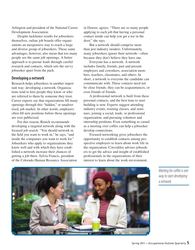Arlington and president of the National Career Development Association.

Despite lackluster results for jobseekers themselves, online job boards offer organizations an inexpensive way to reach a large and diverse group of jobseekers. Those same advantages, however, also mean that too many people see the same job openings. A better approach is to pursue leads through careful research and contacts, which sets the savvy jobseeker apart from the pack.

### **Developing a network**

Research helps jobseekers in another important way: developing a network. Organizations tend to hire people they know or who are referred to them by someone they trust. Career experts say that organizations fill many openings through this "hidden," or unadvertised, job market. In other words, employers often fill new positions before those openings are ever publicized.

For this reason, Renick recommends developing a targeted network along with the focused job search. "You should network in the field you want to work in," he says, "and inside the companies you want to work for." Jobseekers who apply to organizations they know well and with which they have established a network increase their chances of getting a job there. Sylvia Francis, president of the Colorado Human Resource Association in Denver, agrees. "There are so many people applying to each job that having a personal contact inside can help you get a toe in the door," she says.

But a network should comprise more than just industry insiders. Unfortunately, many jobseekers ignore their network—often because they don't believe they have one.

Everyone has a network. A network includes family, friends, past and present employers and coworkers, association members, teachers, classmates, and others. In short, a network is everyone the candidate can communicate with. These contacts need not be close friends; they can be acquaintances, or even friends of friends.

A professional network is built from these personal contacts, and the best time to start building is now. Experts suggest attending industry events, training classes, and seminars; joining a social, trade, or professional organization; and pursuing volunteer and internship positions. Even something as casual as a meeting over coffee can help a jobseeker develop connections.

Focused networking gives jobseekers the opportunity to establish contacts among prospective employers to learn about work life in the organization. Corcodilos advises jobseekers to get the advice and insight of established professionals in the organizations of their interest to learn about the work environment



*Meeting for coffee is one way to start developing a network.*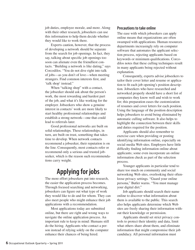job duties, employee morale, and more. Along with their other research, jobseekers can use this information to help them decide whether they would like to work there.

Experts caution, however, that the process of developing a network should be separate from the search for job openings. In fact, they say, talking about specific job openings too soon can alienate even the friendliest contacts. "Building a network is like dating," says Corcodilos. "You do not dive right into talk of jobs—as you don't of love—when meeting strangers. Find common interests first, and 'talk shop' instead."

When "talking shop" with a contact, the jobseeker should ask about the person's work, the most rewarding and hardest part of the job, and what it's like working for the employer. Jobseekers who show a genuine interest in contacts' work are more likely to start healthy professional relationships and establish a strong network—one that could lead to referrals later.

Good professional networks are built on solid relationships. These relationships, in turn, are built on trust, something that takes time to develop. When network contacts recommend a jobseeker, their reputation is on the line. Consequently, most contacts refer or recommend only a serious and trusted jobseeker, which is the reason such recommendations carry weight.

# **Applying for jobs**

The more effort jobseekers put into research, the easier the application process becomes. Through focused searching and networking, jobseekers can figure out what type of work they would like to do and for whom. They can also meet people who might enhance their job applications with a recommendation.

Most applications today are submitted online, but there are right and wrong ways to navigate the online application process. An important rule to keep in mind: Humans still do the hiring. Applicants who contact a person instead of relying solely on the computer enhance their chances of being hired.

### **Precautions to take online**

The ease with which jobseekers can apply online means that organizations are often swamped with applications. Human resources departments increasingly rely on computer software that automates the applicant selection process, rejecting applicants based on keywords or minimum qualifications. Corcodilos notes that these culling techniques result in many applicants being rejected without explanation.

Consequently, experts advise jobseekers to tailor their cover letter and resume or application to fit each job opening's position description. Jobseekers who have researched and networked properly should have a short list of companies they know well and wish to work for; this preparation eases the customization of resumes and cover letters for each position. Using the language of the position description helps jobseekers to avoid being eliminated by automatic culling software. It also helps to highlight the connection between their skills and duties required for the position.

Applicants should also remember to exercise care when providing or posting identifying information online, especially on social media Web sites. Employers have little difficulty finding information online about applicants; some even incorporate an online information check as part of the selection process.

Younger applicants in particular tend to share too much on community and social networking Web sites, overlooking their oftenloose privacy settings. "Guard your online persona," Butler warns. "You must manage your digital dirt."

Job applicants should search their name online to discover what information about them is available to the public. This search also helps applicants determine which Web sites are freely sharing their information without their knowledge or permission.

Applicants should set strict privacy controls to protect their identity and data, limit what others share about them, and eliminate information that might compromise their job candidacy. All personal information must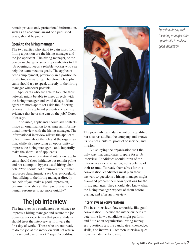remain private; only professional information, such as an academic award or a published essay, should be public.

## **Speak to the hiring manager**

The two parties who stand to gain most from filling a position are the hiring manager and the job applicant. The hiring manager, or the person in charge of selecting candidates to fill job openings, needs a reliable worker who can help the team meet its goals. The applicant needs employment, preferably in a position he or she finds rewarding. Therefore, job applicants should try to speak directly to the hiring manager whenever possible.

Applicants who are able to tap into their network might be able to meet directly with the hiring manager and avoid delays. "Managers are more apt to set aside the 'filtering criteria' if the applicant presents compelling evidence that he or she can do the job," Corcodilos says.

If possible, applicants should ask contacts inside an organization to arrange an informational interview with the hiring manager. The informational interview allows the applicant to learn more about the job and the organization, while also providing an opportunity to impress the hiring manager—and, hopefully, make the short list of applicants.

During an informational interview, applicants should show initiative but remain polite and not attempt to bypass usual hiring channels. "You should not circumvent the human resources department," says Garrett-Ragland, "but talking to the hiring manager directly can help if you make a good impression, because he or she can then put pressure on human resources to act more quickly."

# **The job interview**

The interview is a candidate's best chance to impress a hiring manager and secure the job. Some career experts say that job candidates should treat the interview as if it were the first day of work. "Those who are not ready to do the job at the interview will not return for a second day of work," says Corcodilos.



The job-ready candidate is not only qualified but also has studied the company and knows its business, culture, product or service, and mission.

But studying the organization isn't the only way that candidates prepare for a job interview. Candidates should think of the interview as a conversation, not a defense of their resume. To ready themselves for this conversation, candidates must plan their answers to questions a hiring manager might ask—and prepare their own questions for the hiring manager. They should also know what the hiring manager expects of them before, during, and after an interview.

## **Interviews as conversations**

The best interviews flow smoothly, like good conversation. Because the interview helps to determine how a candidate might perform and fit in at an organization, hiring managers' questions test the candidate's knowledge, skills, and interests. Common interview questions include the following:

*Speaking directly with the hiring manager is an opportunity to make a good impression.*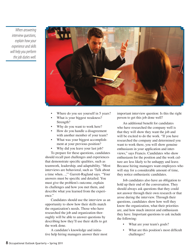*When answering interview questions, explain how your experience and skills will help you perform the job duties well.*



- Where do you see yourself in 5 years?
- What is your biggest weakness? Strength?
- Why do you want to work here?
- How do you handle a disagreement with another member of your team?
- What was your biggest accomplishment at your previous position?
- Why did you leave your last job?

To prepare for these questions, candidates should recall past challenges and experiences that demonstrate specific qualities, such as teamwork, leadership, and adaptability. "Most interviews are behavioral, such as 'Talk about a time when…,'" Garrett-Ragland says. "Your answers must be specific and detailed. You must give the problem's outcome, explain its challenges and how you met them, and describe what you learned from the experience."

Candidates should use the interview as an opportunity to show how their skills match the organization's needs. Those who have researched the job and organization thoroughly will be able to answer questions by describing how they'll use their skills to get the work done.

A candidate's knowledge and initiative help hiring managers answer their most important interview question: Is this the right person to get this job done well?

An additional benefit for candidates who have researched the company well is that they will show they want the job and will be excited to do the work. "If you have researched the company and determined you want to work there, you will show genuine enthusiasm in your application and interviews," says Francis. Candidates who show enthusiasm for the position and the work culture are less likely to be unhappy and leave. Because hiring managers want employees who will stay for a considerable amount of time, they notice enthusiastic candidates.

Job candidates also have an obligation to hold up their end of the conversation. They should always ask questions that they could not answer through their own research or that arose during the interview. Through their questions, candidates show how well they know the organization, what their priorities are, and how much interest and enthusiasm they have. Important questions to ask include the following:

- What are your team's goals?
- What are this position's most difficult challenges?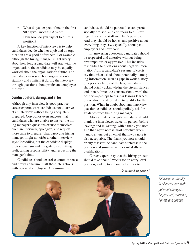- What do you expect of me in the first 90 days? 6 months? A year?
- How soon do you expect to fill this position?

A key function of interviews is to help candidates decide whether a job and an organization are a good fit for them. For example, although the hiring manager might worry about how long a candidate will stay with the organization, the candidate may be equally worried about the organization's future. The candidate can research an organization's stability and confirm it during the interview through questions about profits and employee turnover.

### **Conduct before, during, and after**

Although any interview is good practice, career experts warn candidates not to arrive at an interview without being adequately prepared. Corcodilos even suggests that candidates who are unable to answer the hiring manager's questions excuse themselves from an interview, apologize, and request more time to prepare. That particular hiring manager might not offer another interview, says Corcodilos, but the candidate displays professionalism and integrity by admitting fault, taking responsibility, and respecting the manager's time.

Candidates should exercise common sense and professionalism in all their interactions with potential employers. At a minimum,

candidates should be punctual, clean, professionally dressed, and courteous to all staff, regardless of the staff member's position. And they should be honest and positive about everything they say, especially about past employers and coworkers.

In answering questions, candidates should be respectful and assertive without being presumptuous or aggressive. This includes responding to questions about negative information from a candidate's resume: Experts say that when asked about potentially damaging information, such as gaps in work history or a prior violation of the law, candidates should briefly acknowledge the circumstances and then redirect the conversation toward the positive—perhaps to discuss lessons learned or constructive steps taken to qualify for the position. When in doubt about any interview question, candidates should politely ask for guidance from the hiring manager.

After an interview, job candidates should thank the interviewer twice: in person, before leaving; and in writing, with a thank-you note. The thank-you note is most effective when hand-written, but an email thank-you note is also acceptable. The thank-you note should briefly reassert the candidate's interest in the position and summarize relevant skills and qualifications.

Career experts say that the hiring process should take about 2 weeks for an entry-level position, and up to 2 months for mid- to

*Continued on page 11*



*Behave professionally in all interactions with potential employers: Be punctual, courteous, honest, and positive.*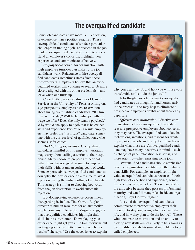# **The overqualified candidate**

Some job candidates have more skill, education, or experience than a position requires. These "overqualified" candidates often face particular challenges in finding a job. To succeed in the job market, overqualified candidates need to understand an employer's concerns, highlight their experience, and communicate effectively.

*Employer concerns.* An organization with high employee turnover can make future job candidates wary. Reluctance to hire overqualified candidates sometimes stems from these turnover fears: Employers believe that an overqualified worker will continue to seek a job more closely aligned with his or her credentials—and leave when one turns up.

Cheri Butler, associate director of Career Services at the University of Texas at Arlington, says prospective employers have reservations about hiring overqualified candidates: "If I hire him, will he stay? Will he be unhappy with the wage we offer? Does she only want a paycheck? Why would she apply to a job that is below her skill and experience level?" As a result, employers may prefer the "just right" candidate, someone with the correct level of qualifications, who seems a safer choice.

*Highlighting experience.* Overqualified candidates mindful of this employer hesitation may worry about calling attention to their experience. Many choose to prepare a functional, rather than chronological, resume to emphasize their skills without underscoring years of work. Some experts advise overqualified candidates to downplay their experience on a resume to avoid rejection during the initial culling of applicants. This strategy is similar to choosing keywords from the job description to avoid automatic rejection.

But downplaying experience doesn't mean disregarding it. In fact, Tina Garrett-Ragland, director of human resources for an automotive supply company in Roanoke, Virginia, suggests that overqualified candidates highlight their skills in the cover letter. "Downplaying your experience might get you an initial interview, but writing a good cover letter can produce better results," she says. "Use the cover letter to explain



why you want the job and how you will use your transferable skills to do the job well."

A forthright cover letter marks overqualified candidates as thoughtful and honest early in the process—and may help to eliminate a prospective employer's doubts about their early departure.

*Effective communication.* Effective communication helps an overqualified candidate reassure prospective employers about concerns they may have. The overqualified candidate has motivations, intentions, and reasons for wanting a particular job, and it's up to him or her to explain what those are. An overqualified candidate may have many incentives in mind—such as change of pace, relocation, less stress, and more stability—when pursuing some jobs.

Overqualified candidates should emphasize how the organization benefits from their abundant skills. For example, an employer might value overqualified candidates because of their high level of expertise and experience, sometimes across various fields. "These candidates are attractive because they possess professional maturity and can fill many roles inside an organization," says Garrett-Ragland.

It is vital that overqualified candidates communicate to prospective employers their intention to stay long term, why they want the job, and how they plan to do the job well. Those who demonstrate motivation and an ability to pick up new skills are less likely to be known as overqualified candidates—and more likely to be called employees.